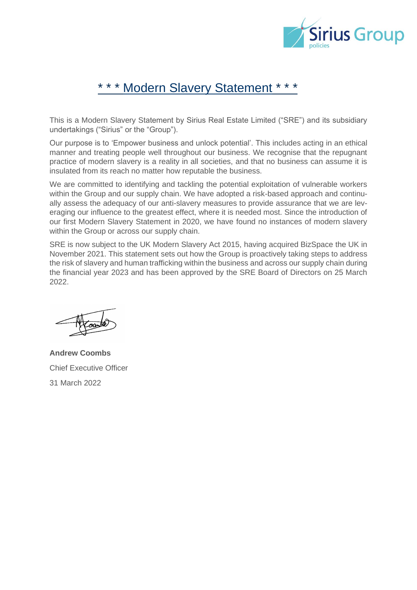

# Modern Slavery Statement \*

This is a Modern Slavery Statement by Sirius Real Estate Limited ("SRE") and its subsidiary undertakings ("Sirius" or the "Group").

Our purpose is to 'Empower business and unlock potential'. This includes acting in an ethical manner and treating people well throughout our business. We recognise that the repugnant practice of modern slavery is a reality in all societies, and that no business can assume it is insulated from its reach no matter how reputable the business.

We are committed to identifying and tackling the potential exploitation of vulnerable workers within the Group and our supply chain. We have adopted a risk-based approach and continually assess the adequacy of our anti-slavery measures to provide assurance that we are leveraging our influence to the greatest effect, where it is needed most. Since the introduction of our first Modern Slavery Statement in 2020, we have found no instances of modern slavery within the Group or across our supply chain.

SRE is now subject to the UK Modern Slavery Act 2015, having acquired BizSpace the UK in November 2021. This statement sets out how the Group is proactively taking steps to address the risk of slavery and human trafficking within the business and across our supply chain during the financial year 2023 and has been approved by the SRE Board of Directors on 25 March 2022.

**Andrew Coombs** Chief Executive Officer 31 March 2022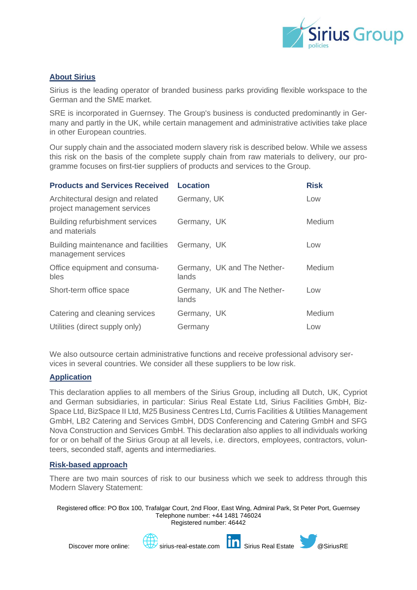

## **About Sirius**

Sirius is the leading operator of branded business parks providing flexible workspace to the German and the SME market.

SRE is incorporated in Guernsey. The Group's business is conducted predominantly in Germany and partly in the UK, while certain management and administrative activities take place in other European countries.

Our supply chain and the associated modern slavery risk is described below. While we assess this risk on the basis of the complete supply chain from raw materials to delivery, our programme focuses on first-tier suppliers of products and services to the Group.

| <b>Products and Services Received</b>                           | <b>Location</b>                      | <b>Risk</b> |
|-----------------------------------------------------------------|--------------------------------------|-------------|
| Architectural design and related<br>project management services | Germany, UK                          | Low         |
| <b>Building refurbishment services</b><br>and materials         | Germany, UK                          | Medium      |
| Building maintenance and facilities<br>management services      | Germany, UK                          | Low         |
| Office equipment and consuma-<br>bles                           | Germany, UK and The Nether-<br>lands | Medium      |
| Short-term office space                                         | Germany, UK and The Nether-<br>lands | Low         |
| Catering and cleaning services                                  | Germany, UK                          | Medium      |
| Utilities (direct supply only)                                  | Germany                              | Low         |

We also outsource certain administrative functions and receive professional advisory services in several countries. We consider all these suppliers to be low risk.

## **Application**

This declaration applies to all members of the Sirius Group, including all Dutch, UK, Cypriot and German subsidiaries, in particular: Sirius Real Estate Ltd, Sirius Facilities GmbH, Biz-Space Ltd, BizSpace II Ltd, M25 Business Centres Ltd, Curris Facilities & Utilities Management GmbH, LB2 Catering and Services GmbH, DDS Conferencing and Catering GmbH and SFG Nova Construction and Services GmbH. This declaration also applies to all individuals working for or on behalf of the Sirius Group at all levels, i.e. directors, employees, contractors, volunteers, seconded staff, agents and intermediaries.

## **Risk-based approach**

There are two main sources of risk to our business which we seek to address through this Modern Slavery Statement:

Registered office: PO Box 100, Trafalgar Court, 2nd Floor, East Wing, Admiral Park, St Peter Port, Guernsey Telephone number: +44 1481 746024 Registered number: 46442



Discover more online: sirius-real-estate.com **Sirius Real Estate** & @SiriusRE

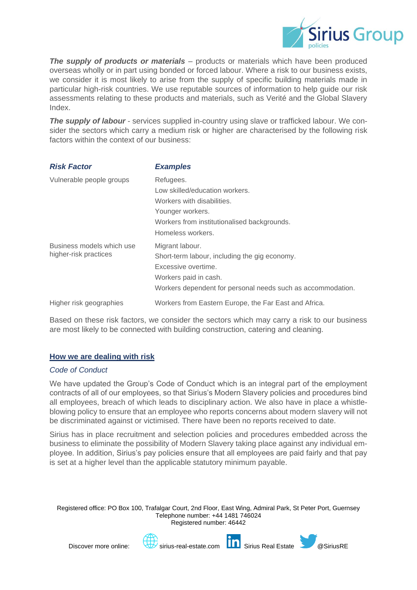

**The supply of products or materials** – products or materials which have been produced overseas wholly or in part using bonded or forced labour. Where a risk to our business exists, we consider it is most likely to arise from the supply of specific building materials made in particular high-risk countries. We use reputable sources of information to help guide our risk assessments relating to these products and materials, such as Verité and the Global Slavery Index.

**The supply of labour** - services supplied in-country using slave or trafficked labour. We consider the sectors which carry a medium risk or higher are characterised by the following risk factors within the context of our business:

| <b>Risk Factor</b>                                 | <b>Examples</b>                                                                                                                                                                 |
|----------------------------------------------------|---------------------------------------------------------------------------------------------------------------------------------------------------------------------------------|
| Vulnerable people groups                           | Refugees.<br>Low skilled/education workers.<br>Workers with disabilities.<br>Younger workers.<br>Workers from institutionalised backgrounds.<br>Homeless workers.               |
| Business models which use<br>higher-risk practices | Migrant labour.<br>Short-term labour, including the gig economy.<br>Excessive overtime.<br>Workers paid in cash.<br>Workers dependent for personal needs such as accommodation. |
| Higher risk geographies                            | Workers from Eastern Europe, the Far East and Africa.                                                                                                                           |

Based on these risk factors, we consider the sectors which may carry a risk to our business are most likely to be connected with building construction, catering and cleaning.

## **How we are dealing with risk**

#### *Code of Conduct*

We have updated the Group's Code of Conduct which is an integral part of the employment contracts of all of our employees, so that Sirius's Modern Slavery policies and procedures bind all employees, breach of which leads to disciplinary action. We also have in place a whistleblowing policy to ensure that an employee who reports concerns about modern slavery will not be discriminated against or victimised. There have been no reports received to date.

Sirius has in place recruitment and selection policies and procedures embedded across the business to eliminate the possibility of Modern Slavery taking place against any individual employee. In addition, Sirius's pay policies ensure that all employees are paid fairly and that pay is set at a higher level than the applicable statutory minimum payable.

Registered office: PO Box 100, Trafalgar Court, 2nd Floor, East Wing, Admiral Park, St Peter Port, Guernsey Telephone number: +44 1481 746024 Registered number: 46442





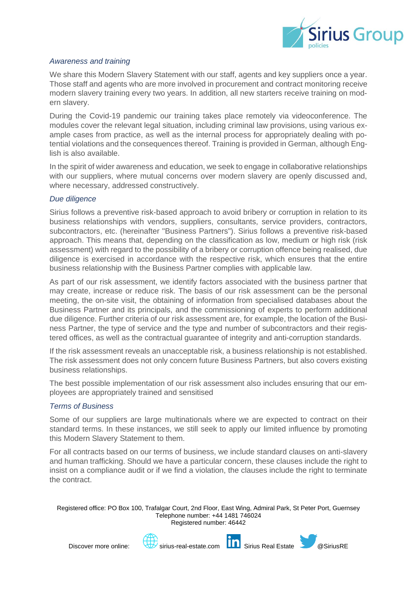

## *Awareness and training*

We share this Modern Slavery Statement with our staff, agents and key suppliers once a year. Those staff and agents who are more involved in procurement and contract monitoring receive modern slavery training every two years. In addition, all new starters receive training on modern slavery.

During the Covid-19 pandemic our training takes place remotely via videoconference. The modules cover the relevant legal situation, including criminal law provisions, using various example cases from practice, as well as the internal process for appropriately dealing with potential violations and the consequences thereof. Training is provided in German, although English is also available.

In the spirit of wider awareness and education, we seek to engage in collaborative relationships with our suppliers, where mutual concerns over modern slavery are openly discussed and, where necessary, addressed constructively.

#### *Due diligence*

Sirius follows a preventive risk-based approach to avoid bribery or corruption in relation to its business relationships with vendors, suppliers, consultants, service providers, contractors, subcontractors, etc. (hereinafter "Business Partners"). Sirius follows a preventive risk-based approach. This means that, depending on the classification as low, medium or high risk (risk assessment) with regard to the possibility of a bribery or corruption offence being realised, due diligence is exercised in accordance with the respective risk, which ensures that the entire business relationship with the Business Partner complies with applicable law.

As part of our risk assessment, we identify factors associated with the business partner that may create, increase or reduce risk. The basis of our risk assessment can be the personal meeting, the on-site visit, the obtaining of information from specialised databases about the Business Partner and its principals, and the commissioning of experts to perform additional due diligence. Further criteria of our risk assessment are, for example, the location of the Business Partner, the type of service and the type and number of subcontractors and their registered offices, as well as the contractual guarantee of integrity and anti-corruption standards.

If the risk assessment reveals an unacceptable risk, a business relationship is not established. The risk assessment does not only concern future Business Partners, but also covers existing business relationships.

The best possible implementation of our risk assessment also includes ensuring that our employees are appropriately trained and sensitised

#### *Terms of Business*

Some of our suppliers are large multinationals where we are expected to contract on their standard terms. In these instances, we still seek to apply our limited influence by promoting this Modern Slavery Statement to them.

For all contracts based on our terms of business, we include standard clauses on anti-slavery and human trafficking. Should we have a particular concern, these clauses include the right to insist on a compliance audit or if we find a violation, the clauses include the right to terminate the contract.

Registered office: PO Box 100, Trafalgar Court, 2nd Floor, East Wing, Admiral Park, St Peter Port, Guernsey Telephone number: +44 1481 746024 Registered number: 46442